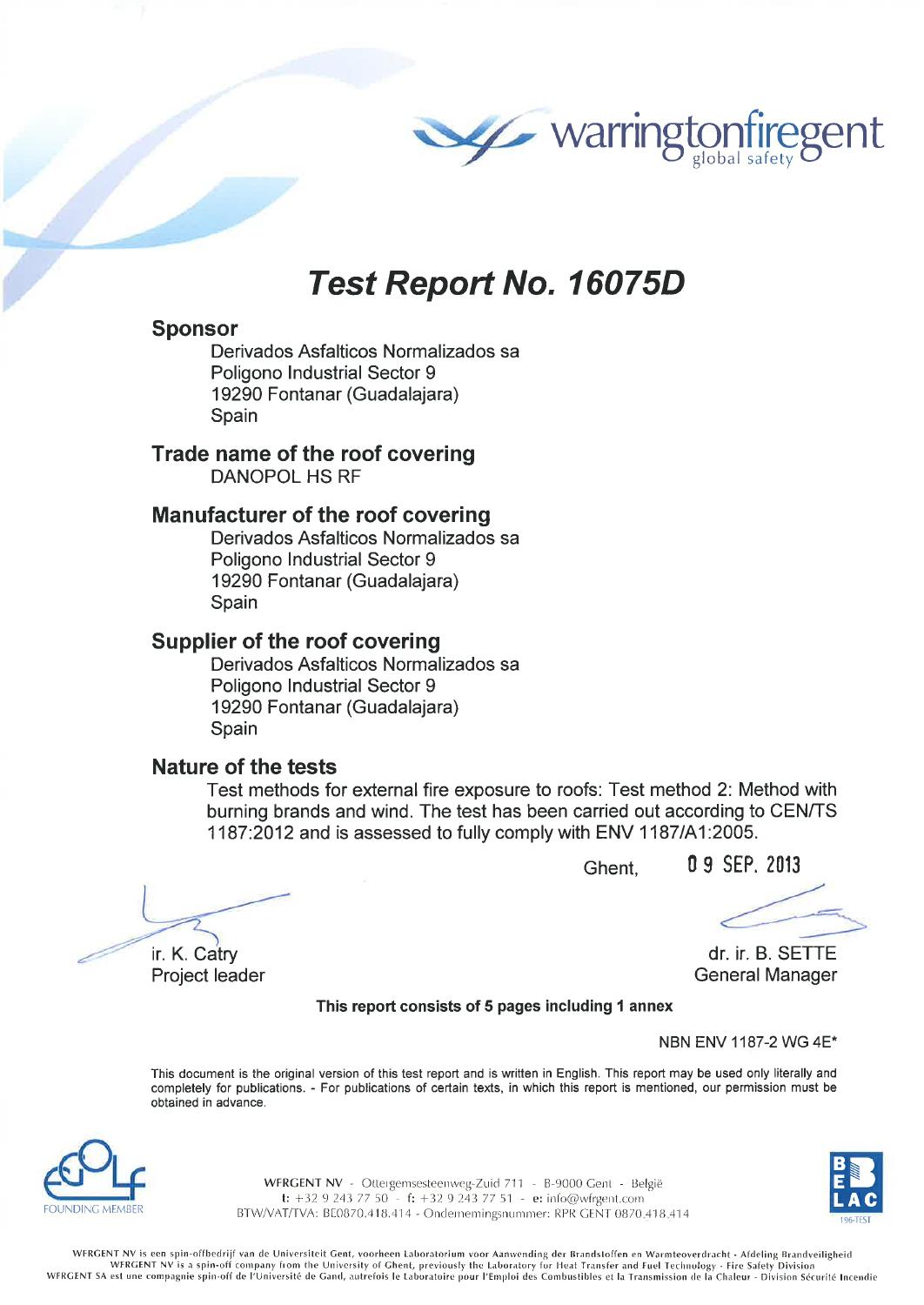

# **Test Report No. 16075D**

#### **Sponsor**

Derivados Asfalticos Normalizados sa Poligono Industrial Sector 9 19290 Fontanar (Guadalajara) Spain

## Trade name of the roof covering

**DANOPOL HS RF** 

### **Manufacturer of the roof covering**

Derivados Asfalticos Normalizados sa Poligono Industrial Sector 9 19290 Fontanar (Guadalajara) Spain

### **Supplier of the roof covering**

Derivados Asfalticos Normalizados sa Poligono Industrial Sector 9 19290 Fontanar (Guadalajara) Spain

#### Nature of the tests

Test methods for external fire exposure to roofs: Test method 2: Method with burning brands and wind. The test has been carried out according to CEN/TS 1187:2012 and is assessed to fully comply with ENV 1187/A1:2005.

Ghent.

0 9 SEP. 2013

ir. K. Catry Project leader

dr. ir. B. SETTE **General Manager** 

This report consists of 5 pages including 1 annex

NBN ENV 1187-2 WG 4E\*

This document is the original version of this test report and is written in English. This report may be used only literally and completely for publications. - For publications of certain texts, in which this report is mentioned, our permission must be obtained in advance.



WFRGENT NV - Ottergemsesteenweg-Zuid 711 - B-9000 Gent - België t: +32 9 243 77 50 - f: +32 9 243 77 51 - e: info@wfrgent.com BTW/VAT/TVA: BE0870.418.414 - Ondernemingsnummer: RPR GENT 0870.418.414

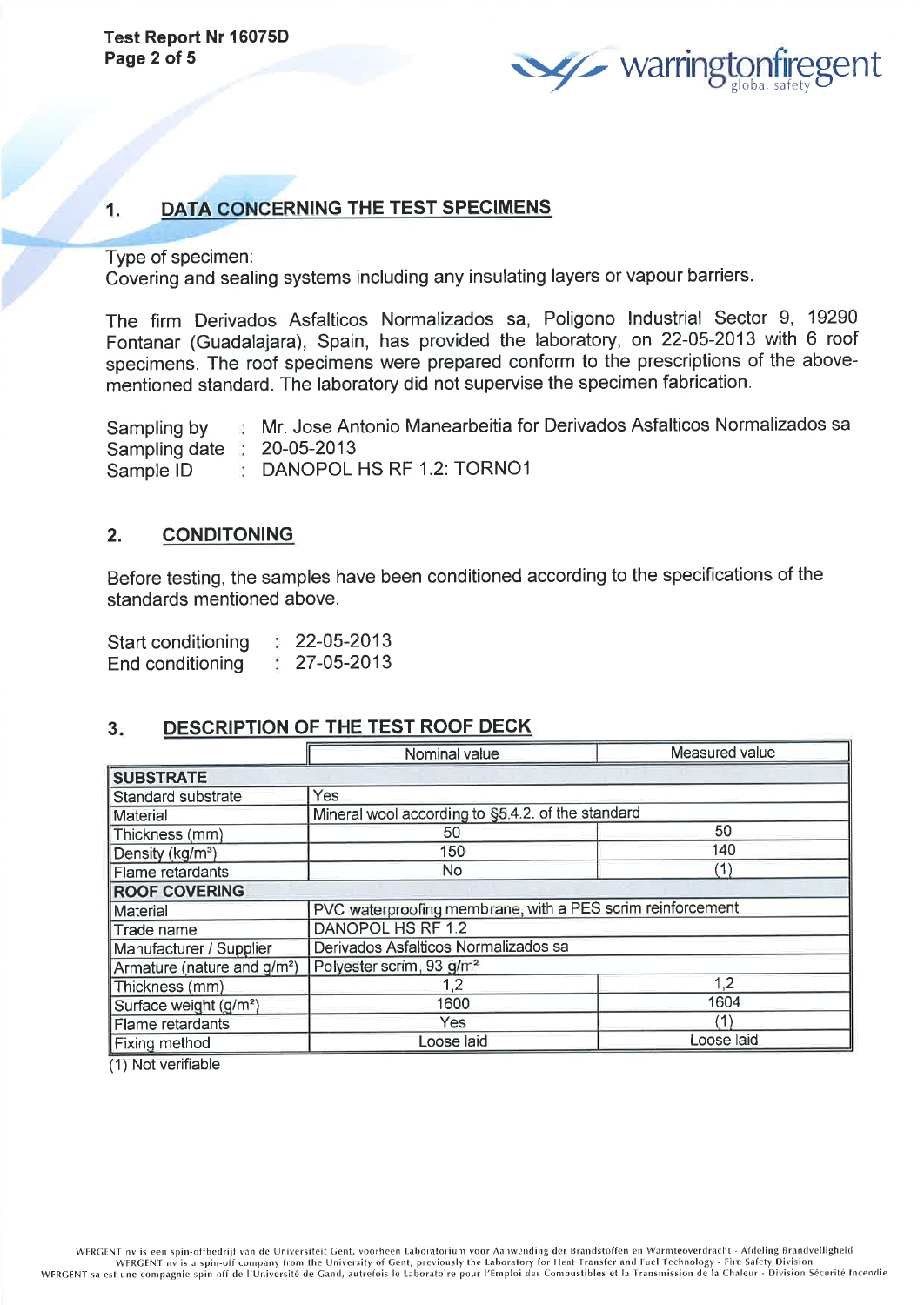

#### 1. DATA CONCERNING THE TEST SPECIMENS

Type of specimen:

Covering and sealing systems including any insulating layers or vapour barriers.

The firm Derivados Asfalticos Normalizados sâ, Poligono lndustrial Sector 9, <sup>19290</sup> Fontanar (Guadalajara), Spain, has provided the laboratory, on 22-05-2013 with 6 roof specimens. The roof specimens were prepared conform to the prescriptions of the abovementioned standard. The laboratory did not supervise the specimen fabrication.

Sampling by Sampling date 20-05-2013 Sample lD Mr. Jose Antonio Manearbeitia for Derivados Asfalticos Normalizados sa **DANOPOL HS RF 1.2: TORNO1** 

#### 2. CONDITONING

Before testing, the samples have been conditioned according to the specifications of the standards mentioned above.

| Start conditioning | 22-05-2013 |
|--------------------|------------|
| End conditioning   | 27-05-2013 |

#### 3. DESCRIPTION OF THE TEST ROOF DECK

|                                         | Nominal value                                              | Measured value |  |  |  |  |
|-----------------------------------------|------------------------------------------------------------|----------------|--|--|--|--|
| <b>SUBSTRATE</b>                        |                                                            |                |  |  |  |  |
| Standard substrate                      | Yes                                                        |                |  |  |  |  |
| Material                                | Mineral wool according to §5.4.2. of the standard          |                |  |  |  |  |
| Thickness (mm)                          | 50                                                         | 50             |  |  |  |  |
| Density (kg/m <sup>3</sup> )            | 150                                                        | 140            |  |  |  |  |
| Flame retardants                        | No.                                                        | (1)            |  |  |  |  |
| <b>ROOF COVERING</b>                    |                                                            |                |  |  |  |  |
| Material                                | PVC waterproofing membrane, with a PES scrim reinforcement |                |  |  |  |  |
| Trade name                              | DANOPOL HS RF 1.2                                          |                |  |  |  |  |
| Manufacturer / Supplier                 | Derivados Asfalticos Normalizados sa                       |                |  |  |  |  |
| Armature (nature and g/m <sup>2</sup> ) | Polyester scrim, 93 g/m <sup>2</sup>                       |                |  |  |  |  |
| Thickness (mm)                          | 1.2                                                        | 1,2            |  |  |  |  |
| Surface weight (g/m <sup>2</sup> )      | 1600                                                       | 1604           |  |  |  |  |
| Flame retardants                        | Yes                                                        | (1)            |  |  |  |  |
| Fixing method                           | Loose laid<br>Loose laid                                   |                |  |  |  |  |

(1) Not verifiable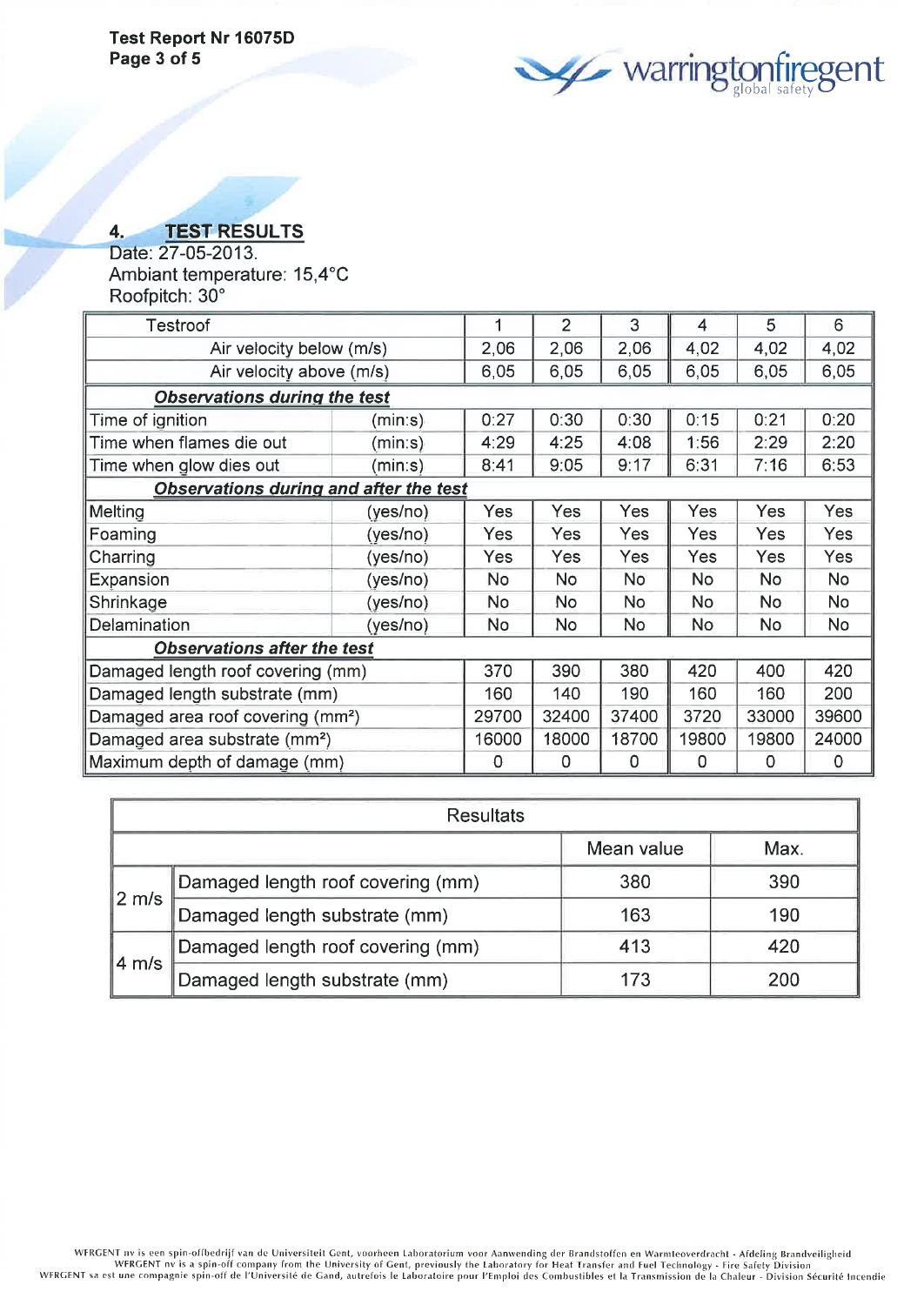**confiregent** 

## 4. TEST RESULTS

Date: 27-05-2013. Ambiant temperature: 15,4°C Roofpitch: 30"

| Testroof                                      |          |           | $\overline{2}$ | 3         | $\overline{\mathcal{A}}$ | 5          | 6          |
|-----------------------------------------------|----------|-----------|----------------|-----------|--------------------------|------------|------------|
| Air velocity below (m/s)                      |          | 2,06      | 2,06           | 2,06      | 4,02                     | 4,02       | 4,02       |
| Air velocity above (m/s)                      |          | 6,05      | 6,05           | 6,05      | 6,05                     | 6,05       | 6,05       |
| <b>Observations during the test</b>           |          |           |                |           |                          |            |            |
| Time of ignition                              | (mins)   | 0:27      | 0:30           | 0:30      | 0:15                     | 0:21       | 0:20       |
| Time when flames die out                      | (mins)   | 4:29      | 4:25           | 4:08      | 1:56                     | 2:29       | 2:20       |
| Time when glow dies out                       | (mins)   | 8:41      | 9:05           | 9:17      | 6:31                     | 7:16       | 6:53       |
| <b>Observations during and after the test</b> |          |           |                |           |                          |            |            |
| Melting                                       | (yes/no) | Yes       | Yes            | Yes       | Yes                      | Yes        | Yes        |
| Foaming                                       | (yes/no) | Yes       | Yes            | Yes       | Yes                      | Yes        | Yes.       |
| Charring                                      | (yes/no) | Yes       | Yes            | Yes       | <b>Yes</b>               | <b>Yes</b> | <b>Yes</b> |
| Expansion                                     | (yes/no) | <b>No</b> | <b>No</b>      | <b>No</b> | <b>No</b>                | No.        | No         |
| Shrinkage                                     | (yes/no) | No.       | <b>No</b>      | No.       | No.                      | <b>No</b>  | No         |
| Delamination                                  | (yes/no) | No        | <b>No</b>      | No        | No                       | No.        | No         |
| <b>Observations after the test</b>            |          |           |                |           |                          |            |            |
| Damaged length roof covering (mm)             |          | 370       | 390            | 380       | 420                      | 400        | 420        |
| Damaged length substrate (mm)                 |          | 160       | 140            | 190       | 160                      | 160        | 200        |
| Damaged area roof covering (mm <sup>2</sup> ) |          | 29700     | 32400          | 37400     | 3720                     | 33000      | 39600      |
| Damaged area substrate (mm <sup>2</sup> )     |          | 16000     | 18000          | 18700     | 19800                    | 19800      | 24000      |
| Maximum depth of damage (mm)                  |          | 0         | 0              | 0         | 0                        | 0          | 0          |

| <b>Resultats</b>  |                                   |            |      |  |
|-------------------|-----------------------------------|------------|------|--|
|                   |                                   | Mean value | Max. |  |
|                   | Damaged length roof covering (mm) | 380        | 390  |  |
| $2 \, \text{m/s}$ | Damaged length substrate (mm)     | 163        | 190  |  |
| $4 \, \text{m/s}$ | Damaged length roof covering (mm) | 413        | 420  |  |
|                   | Damaged length substrate (mm)     | 173        |      |  |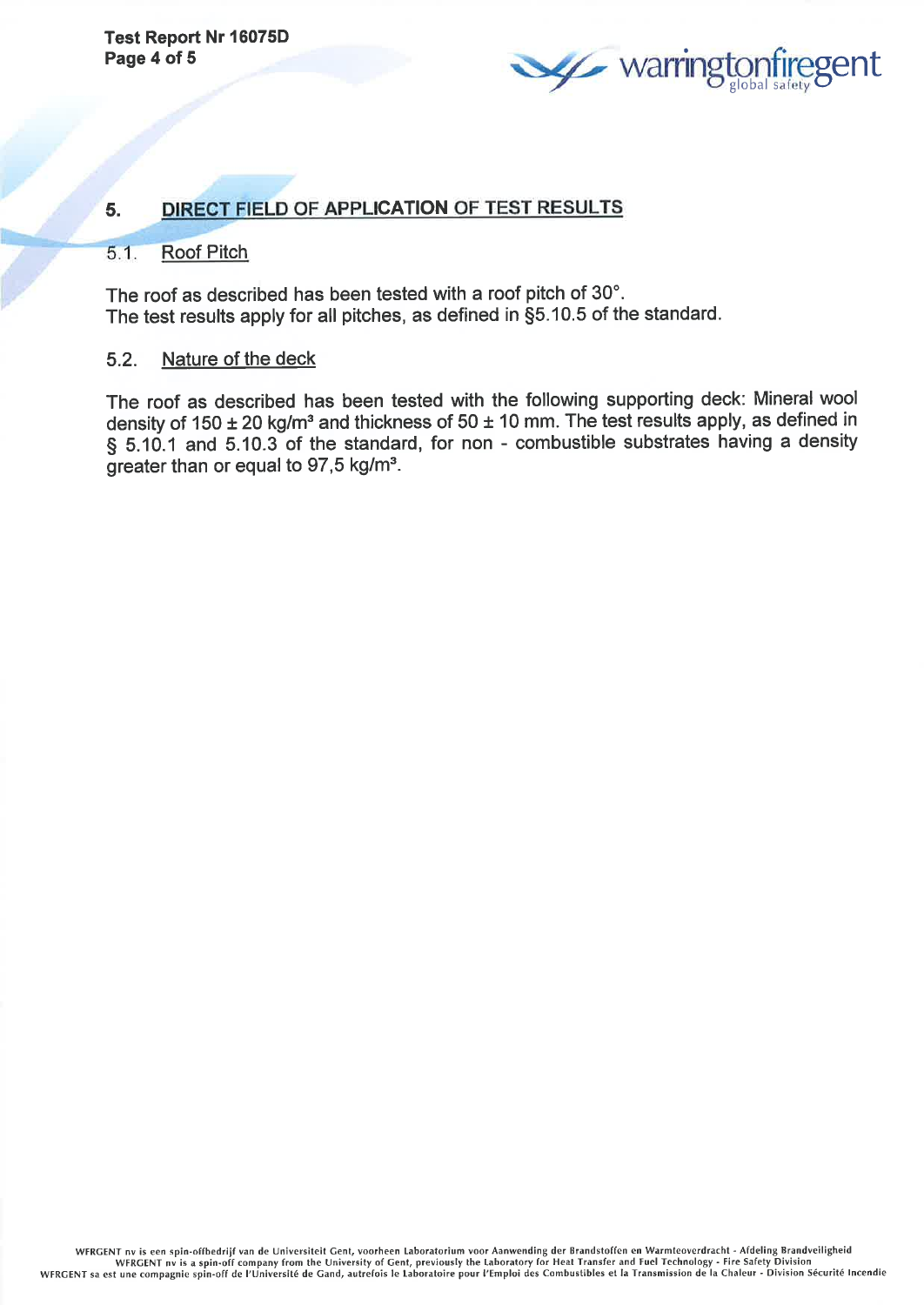

#### DIRECT FIELD OF APPLICATION OF TEST RESULTS 5.

#### $5.1.$ Roof Pitch

The roof as described has been tested with a roof pitch of 30". The test results apply for all pitches, as defined ín \$5.10.5 of the standard.

#### 5.2. Nature of the deck

The roof as described has been tested with the following supporting deck: Mineral wool density of 150  $\pm$  20 kg/m<sup>3</sup> and thickness of 50  $\pm$  10 mm. The test results apply, as defined in § 5.10.1 and 5.10.3 of the standard, for non - combustible substrates having a density greater than or equal to  $97.5$  kg/m<sup>3</sup>.